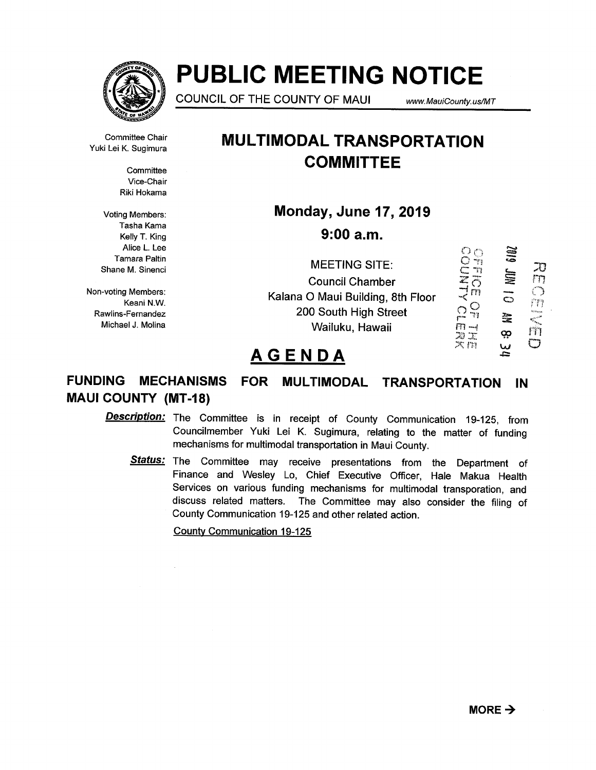

# PUBLIC MEETING NOTICE

COUNCIL OF THE COUNTY OF MAUI www. MaulCounty. us/MT

Committee Chair Yuki Lei K. Sugimura

> **Committee** Vice-Chair Riki Hokama

Voting Members: Tasha Kama Kelly T. King Alice L. Lee Tamara Paltin Shane M. Sinenci

Non-voting Members: Keani N.W. Rawlins-Fernandez Michael J. Molina

# MULTIMODAL TRANSPORTATION **COMMITTEE**

Monday, June 17, 2019

9:00 a.m.

 $\tilde{\Omega}$   $_{\bigcirc}$ NOL 2001  $\infty$   $+$ **OHT**<br>NHC<br>ブロー MEETING SITE: Council Chamber m  $\ddot{\circ}$ Kalana 0 Maui Building, 8th Floor 2010<br>1010<br>1011 200 South High Street  $\equiv$ Wailuku, Hawaii 03 …<br>고<br>지 ()

# AGENDA

# FUNDING MECHANISMS FOR MULTIMODAL TRANSPORTATION IN MAUI COUNTY (MT-18)

Description: The Committee is in receipt of County Communication 19-125, from Councilmember Yuki Lei K. Sugimura, relating to the matter of funding mechanisms for multimodal transportation in Maui County.

**Status:** The Committee may receive presentations from the Department of Finance and Wesley Lo, Chief Executive Officer, Hale Makua Health Services on various funding mechanisms for multimodal transporation, and discuss related matters. The Committee may also consider the filing of County Communication 19-125 and other related action.

County Communication 19-125

'.4)

Andm <

 $\bigcirc$ 

m